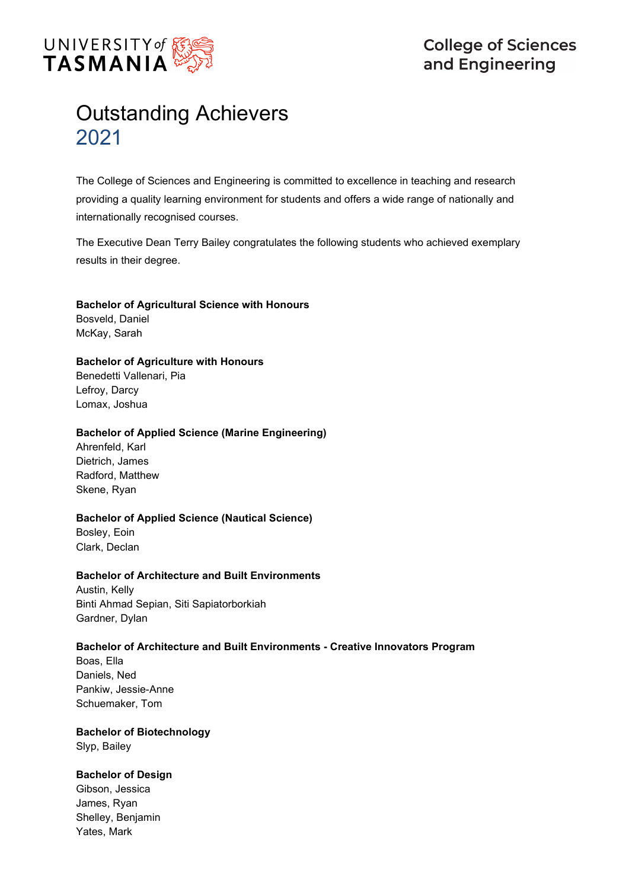

# Outstanding Achievers 2021

The College of Sciences and Engineering is committed to excellence in teaching and research providing a quality learning environment for students and offers a wide range of nationally and internationally recognised courses.

The Executive Dean Terry Bailey congratulates the following students who achieved exemplary results in their degree.

# **Bachelor of Agricultural Science with Honours**

Bosveld, Daniel McKay, Sarah

# **Bachelor of Agriculture with Honours**

Benedetti Vallenari, Pia Lefroy, Darcy Lomax, Joshua

# **Bachelor of Applied Science (Marine Engineering)**

Ahrenfeld, Karl Dietrich, James Radford, Matthew Skene, Ryan

# **Bachelor of Applied Science (Nautical Science)**

Bosley, Eoin Clark, Declan

# **Bachelor of Architecture and Built Environments**

Austin, Kelly Binti Ahmad Sepian, Siti Sapiatorborkiah Gardner, Dylan

# **Bachelor of Architecture and Built Environments - Creative Innovators Program**

Boas, Ella Daniels, Ned Pankiw, Jessie-Anne Schuemaker, Tom

# **Bachelor of Biotechnology** Slyp, Bailey

# **Bachelor of Design**

Gibson, Jessica James, Ryan Shelley, Benjamin Yates, Mark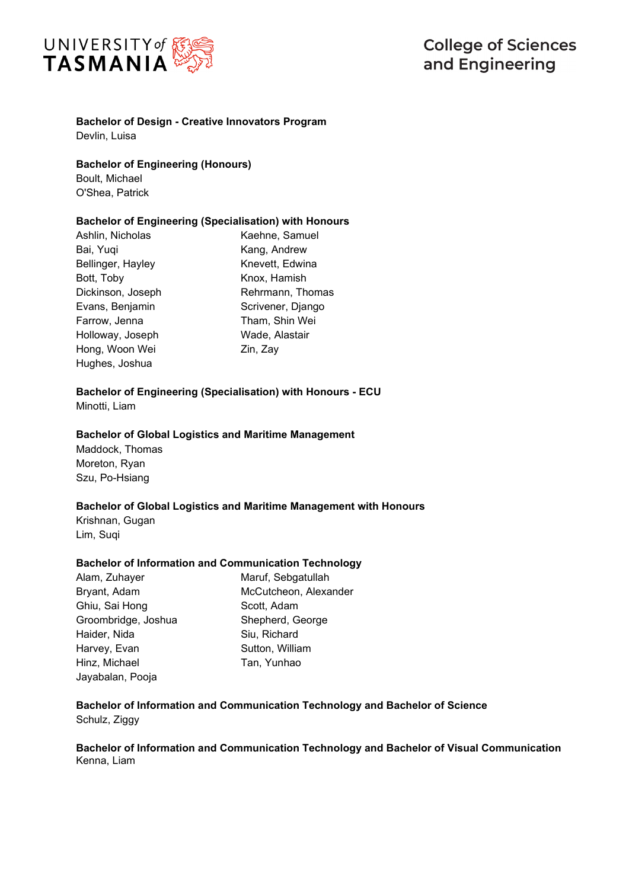

# **Bachelor of Design - Creative Innovators Program**

Devlin, Luisa

**Bachelor of Engineering (Honours)**

Boult, Michael O'Shea, Patrick

#### **Bachelor of Engineering (Specialisation) with Honours**

Ashlin, Nicholas Bai, Yuqi Bellinger, Hayley Bott, Toby Dickinson, Joseph Evans, Benjamin Farrow, Jenna Holloway, Joseph Hong, Woon Wei Hughes, Joshua

Kaehne, Samuel Kang, Andrew Knevett, Edwina Knox, Hamish Rehrmann, Thomas Scrivener, Django Tham, Shin Wei Wade, Alastair Zin, Zay

# **Bachelor of Engineering (Specialisation) with Honours - ECU**

Minotti, Liam

#### **Bachelor of Global Logistics and Maritime Management**

Maddock, Thomas Moreton, Ryan Szu, Po-Hsiang

# **Bachelor of Global Logistics and Maritime Management with Honours**

Krishnan, Gugan Lim, Suqi

# **Bachelor of Information and Communication Technology**

| Alam, Zuhayer       | Maruf, Sebgatullah    |
|---------------------|-----------------------|
| Bryant, Adam        | McCutcheon, Alexander |
| Ghiu, Sai Hong      | Scott, Adam           |
| Groombridge, Joshua | Shepherd, George      |
| Haider, Nida        | Siu, Richard          |
| Harvey, Evan        | Sutton, William       |
| Hinz, Michael       | Tan, Yunhao           |
| Jayabalan, Pooja    |                       |

# **Bachelor of Information and Communication Technology and Bachelor of Science** Schulz, Ziggy

**Bachelor of Information and Communication Technology and Bachelor of Visual Communication**  Kenna, Liam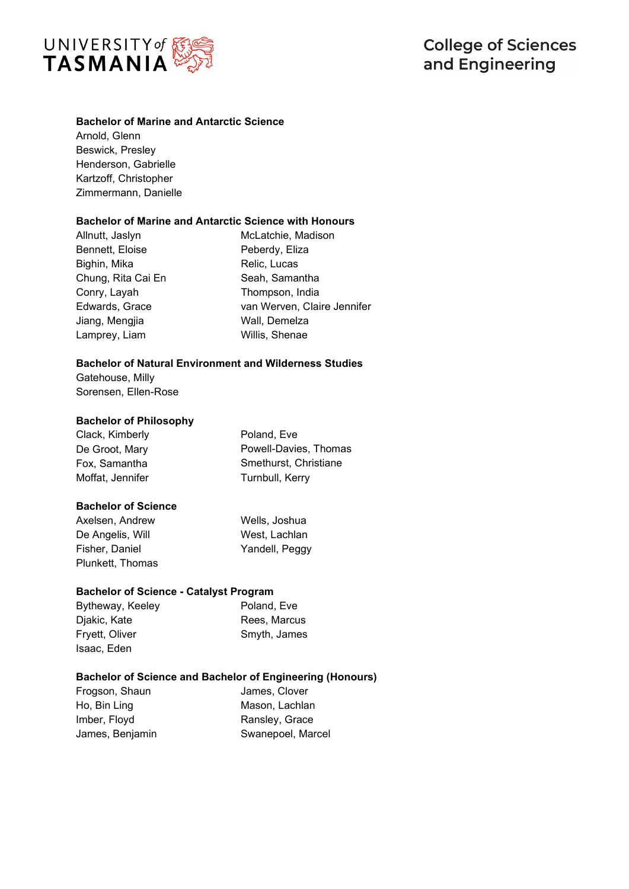

# **Bachelor of Marine and Antarctic Science**

Arnold, Glenn Beswick, Presley Henderson, Gabrielle Kartzoff, Christopher Zimmermann, Danielle

#### **Bachelor of Marine and Antarctic Science with Honours**

Allnutt, Jaslyn Bennett, Eloise Bighin, Mika Chung, Rita Cai En Conry, Layah Edwards, Grace Jiang, Mengjia Lamprey, Liam

McLatchie, Madison Peberdy, Eliza Relic, Lucas Seah, Samantha Thompson, India van Werven, Claire Jennifer Wall, Demelza Willis, Shenae

#### **Bachelor of Natural Environment and Wilderness Studies**

Gatehouse, Milly Sorensen, Ellen-Rose

#### **Bachelor of Philosophy**

Clack, Kimberly De Groot, Mary Fox, Samantha Moffat, Jennifer

Poland, Eve Powell-Davies, Thomas Smethurst, Christiane Turnbull, Kerry

# **Bachelor of Science**

Axelsen, Andrew De Angelis, Will Fisher, Daniel Plunkett, Thomas Wells, Joshua West, Lachlan Yandell, Peggy

# **Bachelor of Science - Catalyst Program**

Bytheway, Keeley Djakic, Kate Fryett, Oliver Isaac, Eden Poland, Eve Rees, Marcus Smyth, James

# **Bachelor of Science and Bachelor of Engineering (Honours)**

Frogson, Shaun Ho, Bin Ling Imber, Floyd James, Benjamin James, Clover Mason, Lachlan Ransley, Grace Swanepoel, Marcel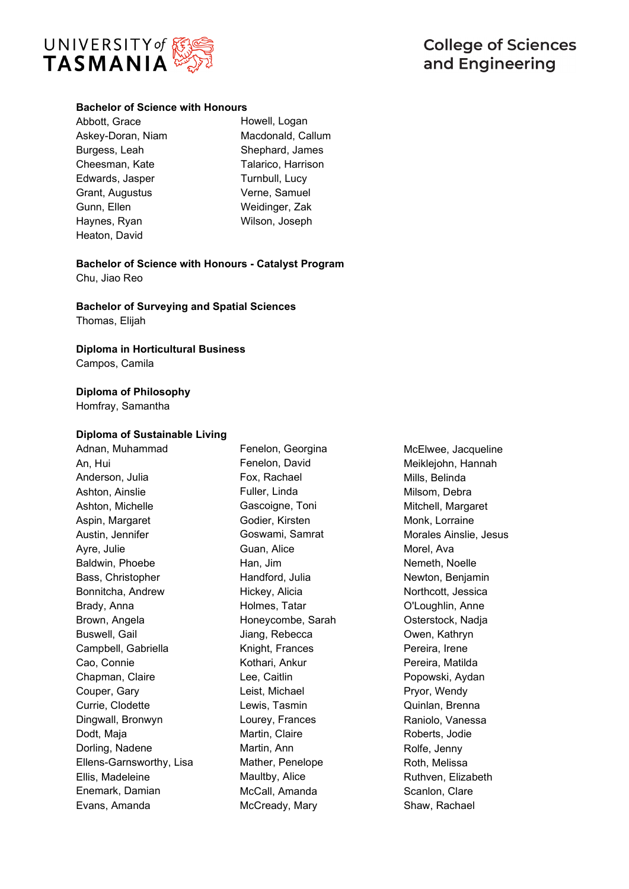

# **Bachelor of Science with Honours**

- Abbott, Grace Askey-Doran, Niam Burgess, Leah Cheesman, Kate Edwards, Jasper Grant, Augustus Gunn, Ellen Haynes, Ryan Heaton, David
- Howell, Logan Macdonald, Callum Shephard, James Talarico, Harrison Turnbull, Lucy Verne, Samuel Weidinger, Zak Wilson, Joseph

**Bachelor of Science with Honours - Catalyst Program** Chu, Jiao Reo

**Bachelor of Surveying and Spatial Sciences**

Thomas, Elijah

# **Diploma in Horticultural Business**

Campos, Camila

# **Diploma of Philosophy**

Homfray, Samantha

# **Diploma of Sustainable Living**

Adnan, Muhammad An, Hui Anderson, Julia Ashton, Ainslie Ashton, Michelle Aspin, Margaret Austin, Jennifer Ayre, Julie Baldwin, Phoebe Bass, Christopher Bonnitcha, Andrew Brady, Anna Brown, Angela Buswell, Gail Campbell, Gabriella Cao, Connie Chapman, Claire Couper, Gary Currie, Clodette Dingwall, Bronwyn Dodt, Maja Dorling, Nadene Ellens-Garnsworthy, Lisa Ellis, Madeleine Enemark, Damian Evans, Amanda

Fenelon, Georgina Fenelon, David Fox, Rachael Fuller, Linda Gascoigne, Toni Godier, Kirsten Goswami, Samrat Guan, Alice Han, Jim Handford, Julia Hickey, Alicia Holmes, Tatar Honeycombe, Sarah Jiang, Rebecca Knight, Frances Kothari, Ankur Lee, Caitlin Leist, Michael Lewis, Tasmin Lourey, Frances Martin, Claire Martin, Ann Mather, Penelope Maultby, Alice McCall, Amanda McCready, Mary

McElwee, Jacqueline Meiklejohn, Hannah Mills, Belinda Milsom, Debra Mitchell, Margaret Monk, Lorraine Morales Ainslie, Jesus Morel, Ava Nemeth, Noelle Newton, Benjamin Northcott, Jessica O'Loughlin, Anne Osterstock, Nadja Owen, Kathryn Pereira, Irene Pereira, Matilda Popowski, Aydan Pryor, Wendy Quinlan, Brenna Raniolo, Vanessa Roberts, Jodie Rolfe, Jenny Roth, Melissa Ruthven, Elizabeth Scanlon, Clare Shaw, Rachael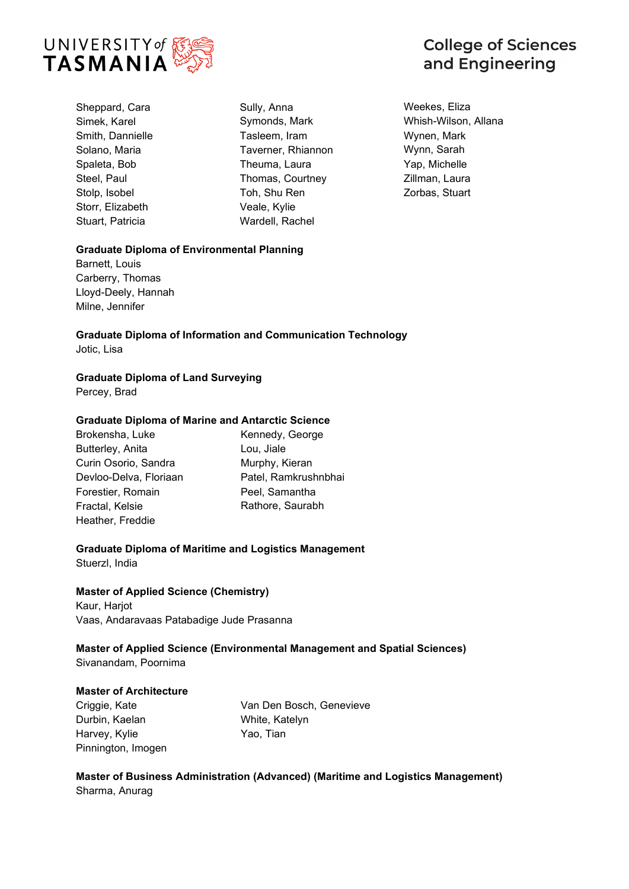

Sheppard, Cara Simek, Karel Smith, Dannielle Solano, Maria Spaleta, Bob Steel, Paul Stolp, Isobel Storr, Elizabeth Stuart, Patricia

Sully, Anna Symonds, Mark Tasleem, Iram Taverner, Rhiannon Theuma, Laura Thomas, Courtney Toh, Shu Ren Veale, Kylie Wardell, Rachel

**College of Sciences** and Engineering

Weekes, Eliza Whish-Wilson, Allana Wynen, Mark Wynn, Sarah Yap, Michelle Zillman, Laura Zorbas, Stuart

# **Graduate Diploma of Environmental Planning**

Barnett, Louis Carberry, Thomas Lloyd-Deely, Hannah Milne, Jennifer

**Graduate Diploma of Information and Communication Technology** Jotic, Lisa

# **Graduate Diploma of Land Surveying**

Percey, Brad

# **Graduate Diploma of Marine and Antarctic Science**

Brokensha, Luke Butterley, Anita Curin Osorio, Sandra Devloo-Delva, Floriaan Forestier, Romain Fractal, Kelsie Heather, Freddie

Kennedy, George Lou, Jiale Murphy, Kieran Patel, Ramkrushnbhai Peel, Samantha Rathore, Saurabh

# **Graduate Diploma of Maritime and Logistics Management**

Stuerzl, India

# **Master of Applied Science (Chemistry)**

Kaur, Harjot Vaas, Andaravaas Patabadige Jude Prasanna

**Master of Applied Science (Environmental Management and Spatial Sciences)** Sivanandam, Poornima

# **Master of Architecture**

Criggie, Kate Durbin, Kaelan Harvey, Kylie Pinnington, Imogen

Van Den Bosch, Genevieve White, Katelyn Yao, Tian

**Master of Business Administration (Advanced) (Maritime and Logistics Management)** Sharma, Anurag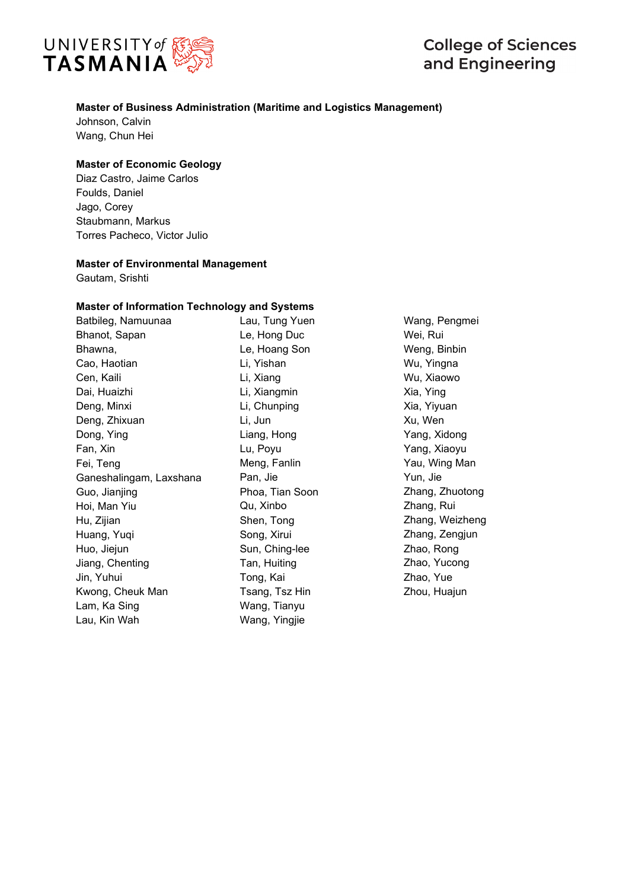

# **College of Sciences** and Engineering

# **Master of Business Administration (Maritime and Logistics Management)**

Johnson, Calvin Wang, Chun Hei

# **Master of Economic Geology**

Diaz Castro, Jaime Carlos Foulds, Daniel Jago, Corey Staubmann, Markus Torres Pacheco, Victor Julio

#### **Master of Environmental Management**

Gautam, Srishti

#### **Master of Information Technology and Systems**

Batbileg, Namuunaa Bhanot, Sapan Bhawna, Cao, Haotian Cen, Kaili Dai, Huaizhi Deng, Minxi Deng, Zhixuan Dong, Ying Fan, Xin Fei, Teng Ganeshalingam, Laxshana Guo, Jianjing Hoi, Man Yiu Hu, Zijian Huang, Yuqi Huo, Jiejun Jiang, Chenting Jin, Yuhui Kwong, Cheuk Man Lam, Ka Sing Lau, Kin Wah

Lau, Tung Yuen Le, Hong Duc Le, Hoang Son Li, Yishan Li, Xiang Li, Xiangmin Li, Chunping Li, Jun Liang, Hong Lu, Poyu Meng, Fanlin Pan, Jie Phoa, Tian Soon Qu, Xinbo Shen, Tong Song, Xirui Sun, Ching-lee Tan, Huiting Tong, Kai Tsang, Tsz Hin Wang, Tianyu Wang, Yingjie

Wang, Pengmei Wei, Rui Weng, Binbin Wu, Yingna Wu, Xiaowo Xia, Ying Xia, Yiyuan Xu, Wen Yang, Xidong Yang, Xiaoyu Yau, Wing Man Yun, Jie Zhang, Zhuotong Zhang, Rui Zhang, Weizheng Zhang, Zengjun Zhao, Rong Zhao, Yucong Zhao, Yue Zhou, Huajun